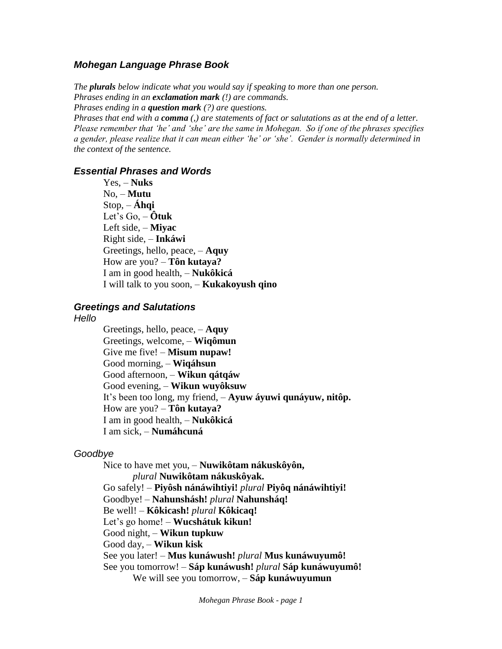### *Mohegan Language Phrase Book*

*The plurals below indicate what you would say if speaking to more than one person. Phrases ending in an exclamation mark (!) are commands.*

*Phrases ending in a question mark (?) are questions.*

*Phrases that end with a comma (,) are statements of fact or salutations as at the end of a letter. Please remember that 'he' and 'she' are the same in Mohegan. So if one of the phrases specifies a gender, please realize that it can mean either 'he' or 'she'. Gender is normally determined in the context of the sentence.*

#### *Essential Phrases and Words*

Yes, – **Nuks** No, – **Mutu** Stop, – **Áhqi** Let's Go, – **Ôtuk** Left side, – **Miyac** Right side, – **Inkáwi** Greetings, hello, peace, – **Aquy** How are you? – **Tôn kutaya?** I am in good health, – **Nukôkicá** I will talk to you soon, – **Kukakoyush qino**

#### *Greetings and Salutations*

*Hello*

Greetings, hello, peace, – **Aquy** Greetings, welcome, – **Wiqômun** Give me five! – **Misum nupaw!** Good morning, – **Wiqáhsun**  Good afternoon, – **Wikun qátqáw** Good evening, – **Wikun wuyôksuw** It's been too long, my friend, – **Ayuw áyuwi qunáyuw, nitôp.** How are you? – **Tôn kutaya?** I am in good health, – **Nukôkicá** I am sick, – **Numáhcuná**

#### *Goodbye*

Nice to have met you, – **Nuwikôtam nákuskôyôn,** *plural* **Nuwikôtam nákuskôyak.** Go safely! – **Piyôsh nánáwihtiyi!** *plural* **Piyôq nánáwihtiyi!** Goodbye! – **Nahunshásh!** *plural* **Nahunsháq!** Be well! – **Kôkicash!** *plural* **Kôkicaq!** Let's go home! – **Wucshátuk kikun!** Good night, – **Wikun tupkuw** Good day, – **Wikun kisk** See you later! – **Mus kunáwush!** *plural* **Mus kunáwuyumô!** See you tomorrow! – **Sáp kunáwush!** *plural* **Sáp kunáwuyumô!** We will see you tomorrow, – **Sáp kunáwuyumun**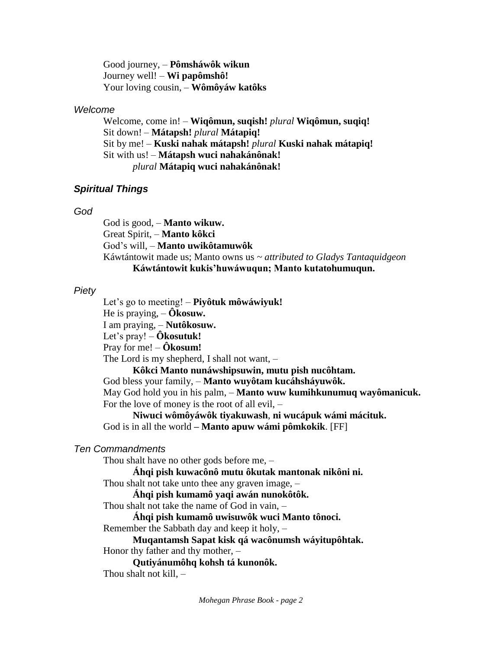Good journey, – **Pômsháwôk wikun** Journey well! – **Wi papômshô!** Your loving cousin, – **Wômôyáw katôks**

### *Welcome*

Welcome, come in! – **Wiqômun, suqish!** *plural* **Wiqômun, suqiq!** Sit down! – **Mátapsh!** *plural* **Mátapiq!** Sit by me! – **Kuski nahak mátapsh!** *plural* **Kuski nahak mátapiq!** Sit with us! – **Mátapsh wuci nahakánônak!**  *plural* **Mátapiq wuci nahakánônak!**

# *Spiritual Things*

## *God*

God is good, – **Manto wikuw.** Great Spirit, – **Manto kôkci** God's will, – **Manto uwikôtamuwôk** Káwtántowit made us; Manto owns us *~ attributed to Gladys Tantaquidgeon* **Káwtántowit kukis'huwáwuqun; Manto kutatohumuqun.**

# *Piety*

Let's go to meeting! – **Piyôtuk môwáwiyuk!** He is praying, – **Ôkosuw.** I am praying, – **Nutôkosuw.** Let's pray! – **Ôkosutuk!** Pray for me! – **Ôkosum!** The Lord is my shepherd, I shall not want, – **Kôkci Manto nunáwshipsuwin, mutu pish nucôhtam.** God bless your family, – **Manto wuyôtam kucáhsháyuwôk.** May God hold you in his palm, – **Manto wuw kumihkunumuq wayômanicuk.** For the love of money is the root of all evil, –

**Niwuci wômôyáwôk tiyakuwash**, **ni wucápuk wámi mácituk.** God is in all the world **– Manto apuw wámi pômkokik**. [FF]

# *Ten Commandments*

Thou shalt have no other gods before me, –

**Áhqi pish kuwacônô mutu ôkutak mantonak nikôni ni.**

Thou shalt not take unto thee any graven image, –

**Áhqi pish kumamô yaqi awán nunokôtôk.**

Thou shalt not take the name of God in vain, –

**Áhqi pish kumamô uwisuwôk wuci Manto tônoci.**

Remember the Sabbath day and keep it holy, –

**Muqantamsh Sapat kisk qá wacônumsh wáyitupôhtak.**

Honor thy father and thy mother, –

**Qutiyánumôhq kohsh tá kunonôk.**

Thou shalt not kill,  $-$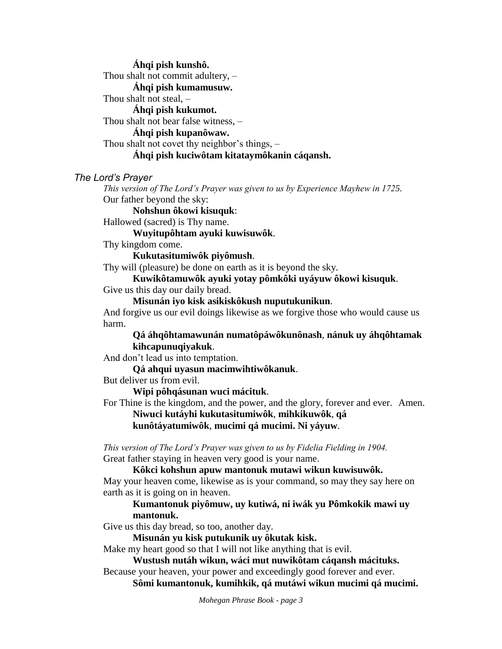**Áhqi pish kunshô.** Thou shalt not commit adultery, – **Áhqi pish kumamusuw.** Thou shalt not steal, – **Áhqi pish kukumot.** Thou shalt not bear false witness, – **Áhqi pish kupanôwaw.**  Thou shalt not covet thy neighbor's things, – **Áhqi pish kuciwôtam kitataymôkanin cáqansh.**

### *The Lord's Prayer*

*This version of The Lord's Prayer was given to us by Experience Mayhew in 1725.* Our father beyond the sky:

**Nohshun ôkowi kisuquk**:

Hallowed (sacred) is Thy name.

**Wuyitupôhtam ayuki kuwisuwôk**.

Thy kingdom come.

**Kukutasitumiwôk piyômush**.

Thy will (pleasure) be done on earth as it is beyond the sky.

#### **Kuwikôtamuwôk ayuki yotay pômkôki uyáyuw ôkowi kisuquk**.

Give us this day our daily bread.

**Misunán iyo kisk asikiskôkush nuputukunikun**.

And forgive us our evil doings likewise as we forgive those who would cause us harm.

**Qá áhqôhtamawunán numatôpáwôkunônash**, **nánuk uy áhqôhtamak kihcapunuqiyakuk**.

And don't lead us into temptation.

**Qá ahqui uyasun macimwihtiwôkanuk**.

But deliver us from evil.

**Wipi pôhqásunan wuci mácituk**.

For Thine is the kingdom, and the power, and the glory, forever and ever. Amen. **Niwuci kutáyhi kukutasitumiwôk**, **mihkikuwôk**, **qá**

**kunôtáyatumiwôk**, **mucimi qá mucimi. Ni yáyuw**.

*This version of The Lord's Prayer was given to us by Fidelia Fielding in 1904.* Great father staying in heaven very good is your name.

**Kôkci kohshun apuw mantonuk mutawi wikun kuwisuwôk.** May your heaven come, likewise as is your command, so may they say here on earth as it is going on in heaven.

### **Kumantonuk piyômuw, uy kutiwá, ni iwák yu Pômkokik mawi uy mantonuk.**

Give us this day bread, so too, another day.

**Misunán yu kisk putukunik uy ôkutak kisk.** 

Make my heart good so that I will not like anything that is evil.

**Wustush nutáh wikun, wáci mut nuwikôtam cáqansh mácituks.**

Because your heaven, your power and exceedingly good forever and ever.

**Sômi kumantonuk, kumihkik, qá mutáwi wikun mucimi qá mucimi.**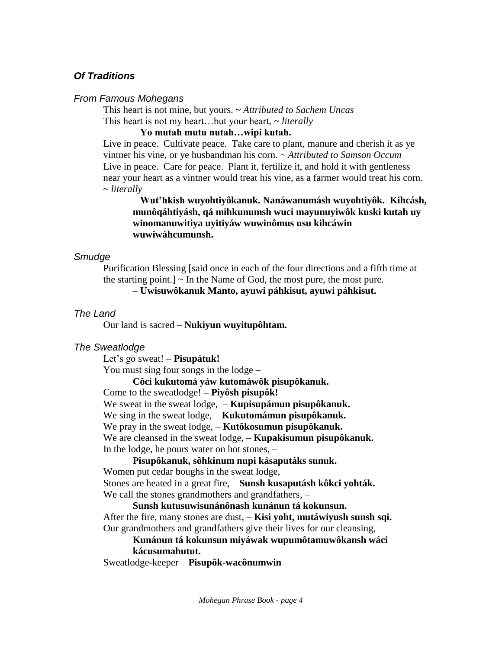# *Of Traditions*

### *From Famous Mohegans*

This heart is not mine, but yours. **~** *Attributed to Sachem Uncas* This heart is not my heart…but your heart, *~ literally*

### – **Yo mutah mutu nutah…wipi kutah.**

Live in peace. Cultivate peace. Take care to plant, manure and cherish it as ye vintner his vine, or ye husbandman his corn. *~ Attributed to Samson Occum* Live in peace. Care for peace. Plant it, fertilize it, and hold it with gentleness near your heart as a vintner would treat his vine, as a farmer would treat his corn. ~ *literally*

– **Wut'hkish wuyohtiyôkanuk. Nanáwanumásh wuyohtiyôk. Kihcásh, munôqáhtiyásh, qá mihkunumsh wuci mayunuyiwôk kuski kutah uy winomanuwitiya uyitiyáw wuwinômus usu kihcáwin wuwiwáhcumunsh.**

## *Smudge*

Purification Blessing [said once in each of the four directions and a fifth time at the starting point.]  $\sim$  In the Name of God, the most pure, the most pure. – **Uwisuwôkanuk Manto, ayuwi páhkisut, ayuwi páhkisut.**

## *The Land*

Our land is sacred – **Nukiyun wuyitupôhtam.**

# *The Sweatlodge*

Let's go sweat! – **Pisupátuk!**

You must sing four songs in the lodge –

**Côci kukutomá yáw kutomáwôk pisupôkanuk.**

Come to the sweatlodge! **– Piyôsh pisupôk!**

We sweat in the sweat lodge, – **Kupisupámun pisupôkanuk.**

We sing in the sweat lodge, – **Kukutomámun pisupôkanuk.**

We pray in the sweat lodge, – **Kutôkosumun pisupôkanuk.**

We are cleansed in the sweat lodge, – **Kupakisumun pisupôkanuk.**

In the lodge, he pours water on hot stones, –

**Pisupôkanuk, sôhkinum nupi kásaputáks sunuk.**

Women put cedar boughs in the sweat lodge,

Stones are heated in a great fire, – **Sunsh kusaputásh kôkci yohták.** We call the stones grandmothers and grandfathers,  $-$ 

**Sunsh kutusuwisunánônash kunánun tá kokunsun.** After the fire, many stones are dust, – **Kisi yoht, mutáwiyush sunsh sqi.** Our grandmothers and grandfathers give their lives for our cleansing, –

# **Kunánun tá kokunsun miyáwak wupumôtamuwôkansh wáci kácusumahutut.**

Sweatlodge-keeper – **Pisupôk-wacônumwin**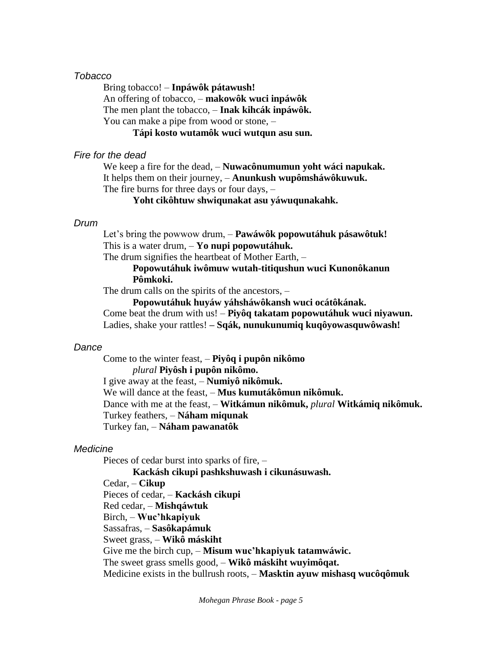#### *Tobacco*

Bring tobacco! – **Inpáwôk pátawush!** An offering of tobacco, – **makowôk wuci inpáwôk** The men plant the tobacco, – **Inak kihcák inpáwôk.** You can make a pipe from wood or stone, –

**Tápi kosto wutamôk wuci wutqun asu sun.**

### *Fire for the dead*

We keep a fire for the dead, – **Nuwacônumumun yoht wáci napukak.** It helps them on their journey, – **Anunkush wupômsháwôkuwuk.** The fire burns for three days or four days, –

**Yoht cikôhtuw shwiqunakat asu yáwuqunakahk.**

#### *Drum*

Let's bring the powwow drum, – **Pawáwôk popowutáhuk pásawôtuk!** This is a water drum, – **Yo nupi popowutáhuk.**

The drum signifies the heartbeat of Mother Earth, –

## **Popowutáhuk iwômuw wutah-titiqushun wuci Kunonôkanun Pômkoki.**

The drum calls on the spirits of the ancestors, –

**Popowutáhuk huyáw yáhsháwôkansh wuci ocátôkának.** Come beat the drum with us! – **Piyôq takatam popowutáhuk wuci niyawun.**

Ladies, shake your rattles! **– Sqák, nunukunumiq kuqôyowasquwôwash!**

### *Dance*

Come to the winter feast, – **Piyôq i pupôn nikômo** *plural* **Piyôsh i pupôn nikômo.** I give away at the feast, – **Numiyô nikômuk.** We will dance at the feast, – **Mus kumutákômun nikômuk.** Dance with me at the feast, – **Witkámun nikômuk,** *plural* **Witkámiq nikômuk.** Turkey feathers, – **Náham miqunak** Turkey fan, – **Náham pawanatôk**

### *Medicine*

Pieces of cedar burst into sparks of fire, –

**Kackásh cikupi pashkshuwash i cikunásuwash.** Cedar, – **Cikup** Pieces of cedar, – **Kackásh cikupi** Red cedar, – **Mishqáwtuk** Birch, – **Wuc'hkapiyuk** Sassafras, – **Sasôkapámuk** Sweet grass, – **Wikô máskiht** Give me the birch cup, – **Misum wuc'hkapiyuk tatamwáwic.** The sweet grass smells good, – **Wikô máskiht wuyimôqat.** Medicine exists in the bullrush roots, – **Masktin ayuw mishasq wucôqômuk**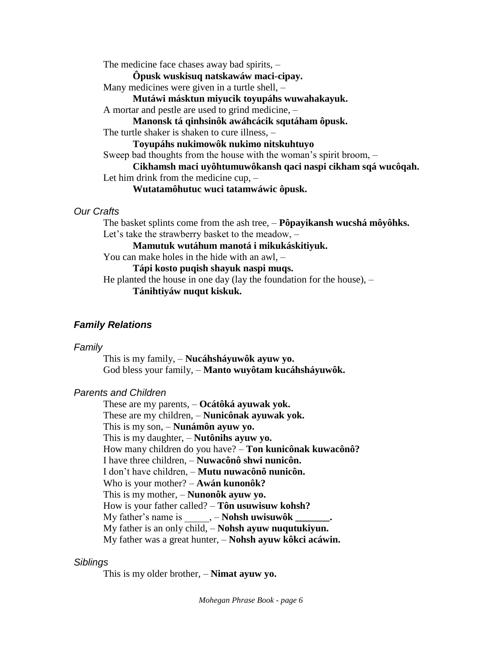The medicine face chases away bad spirits, – **Ôpusk wuskisuq natskawáw maci-cipay.** Many medicines were given in a turtle shell, – **Mutáwi másktun miyucik toyupáhs wuwahakayuk.** A mortar and pestle are used to grind medicine, – **Manonsk tá qinhsinôk awáhcácik squtáham ôpusk.** The turtle shaker is shaken to cure illness, – **Toyupáhs nukimowôk nukimo nitskuhtuyo** Sweep bad thoughts from the house with the woman's spirit broom, – **Cikhamsh maci uyôhtumuwôkansh qaci naspi cikham sqá wucôqah.** Let him drink from the medicine cup, – **Wutatamôhutuc wuci tatamwáwic ôpusk.**

### *Our Crafts*

The basket splints come from the ash tree, – **Pôpayikansh wucshá môyôhks.** Let's take the strawberry basket to the meadow, – **Mamutuk wutáhum manotá i mikukáskitiyuk.** You can make holes in the hide with an awl, – **Tápi kosto puqish shayuk naspi muqs.** He planted the house in one day (lay the foundation for the house),  $-$ **Tánihtiyáw nuqut kiskuk.** 

# *Family Relations*

### *Family*

This is my family, – **Nucáhsháyuwôk ayuw yo.** God bless your family, – **Manto wuyôtam kucáhsháyuwôk.**

### *Parents and Children*

These are my parents, – **Ocátôká ayuwak yok.** These are my children, – **Nunicônak ayuwak yok.** This is my son, – **Nunámôn ayuw yo.** This is my daughter, – **Nutônihs ayuw yo.** How many children do you have? – **Ton kunicônak kuwacônô?** I have three children, – **Nuwacônô shwi nunicôn.** I don't have children, – **Mutu nuwacônô nunicôn.** Who is your mother? – **Awán kunonôk?** This is my mother, – **Nunonôk ayuw yo.** How is your father called? – **Tôn usuwisuw kohsh?** My father's name is \_\_\_\_\_, – **Nohsh uwisuwôk \_\_\_\_\_\_\_.** My father is an only child, – **Nohsh ayuw nuqutukiyun.** My father was a great hunter, – **Nohsh ayuw kôkci acáwin.**

### *Siblings*

This is my older brother, – **Nimat ayuw yo.**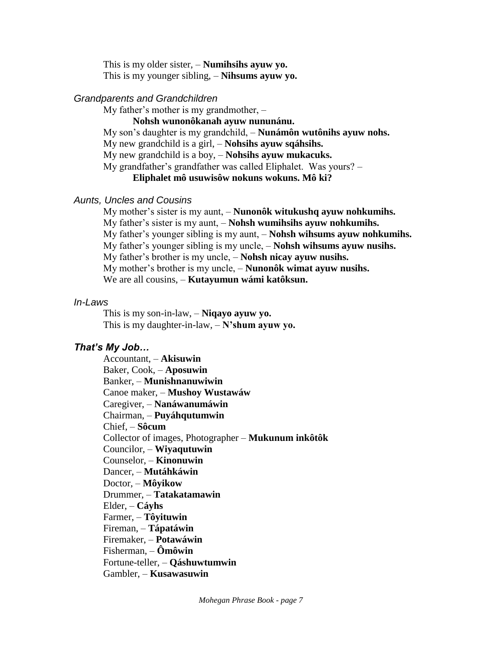This is my older sister, – **Numihsihs ayuw yo.** This is my younger sibling, – **Nihsums ayuw yo.**

### *Grandparents and Grandchildren*

My father's mother is my grandmother, –

**Nohsh wunonôkanah ayuw nununánu.**

My son's daughter is my grandchild, – **Nunámôn wutônihs ayuw nohs.**

My new grandchild is a girl, – **Nohsihs ayuw sqáhsihs.**

My new grandchild is a boy, – **Nohsihs ayuw mukacuks.**

My grandfather's grandfather was called Eliphalet. Was yours? –

**Eliphalet mô usuwisôw nokuns wokuns. Mô ki?**

### *Aunts, Uncles and Cousins*

My mother's sister is my aunt, – **Nunonôk witukushq ayuw nohkumihs.** My father's sister is my aunt, – **Nohsh wumihsihs ayuw nohkumihs.** My father's younger sibling is my aunt, – **Nohsh wihsums ayuw nohkumihs.** My father's younger sibling is my uncle, – **Nohsh wihsums ayuw nusihs.** My father's brother is my uncle, – **Nohsh nicay ayuw nusihs.** My mother's brother is my uncle, – **Nunonôk wimat ayuw nusihs.** We are all cousins, – **Kutayumun wámi katôksun.**

### *In-Laws*

This is my son-in-law, – **Niqayo ayuw yo.** This is my daughter-in-law, – **N'shum ayuw yo.**

# *That's My Job…*

Accountant, – **Akisuwin** Baker, Cook, – **Aposuwin** Banker, – **Munishnanuwiwin** Canoe maker, – **Mushoy Wustawáw** Caregiver, – **Nanáwanumáwin** Chairman, – **Puyáhqutumwin** Chief, – **Sôcum** Collector of images, Photographer – **Mukunum inkôtôk** Councilor, – **Wiyaqutuwin**  Counselor, – **Kinonuwin**  Dancer, – **Mutáhkáwin** Doctor, – **Môyikow**  Drummer, – **Tatakatamawin** Elder, – **Cáyhs** Farmer, – **Tôyituwin** Fireman, – **Tápatáwin** Firemaker, – **Potawáwin** Fisherman, – **Ômôwin** Fortune-teller, – **Qáshuwtumwin** Gambler, – **Kusawasuwin**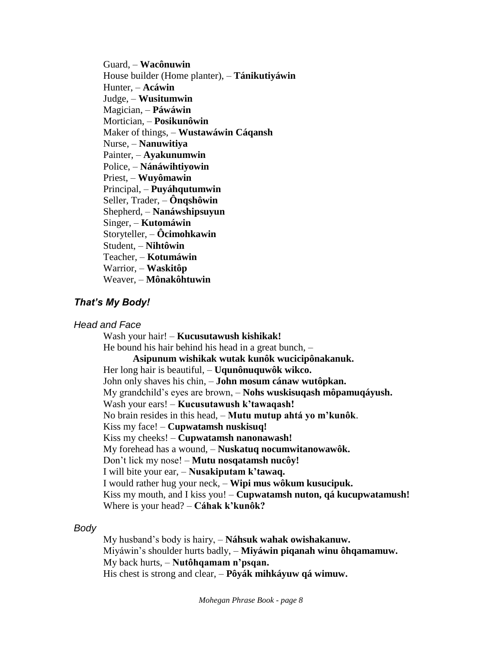Guard, – **Wacônuwin** House builder (Home planter), – **Tánikutiyáwin** Hunter, – **Acáwin** Judge, – **Wusitumwin** Magician, – **Páwáwin** Mortician, – **Posikunôwin** Maker of things, – **Wustawáwin Cáqansh** Nurse, – **Nanuwitiya**  Painter, – **Ayakunumwin** Police, – **Nánáwihtiyowin** Priest, – **Wuyômawin** Principal, – **Puyáhqutumwin** Seller, Trader, – **Ônqshôwin** Shepherd, – **Nanáwshipsuyun** Singer, – **Kutomáwin** Storyteller, – **Ôcimohkawin** Student, – **Nihtôwin** Teacher, – **Kotumáwin** Warrior, – **Waskitôp**  Weaver, – **Mônakôhtuwin** 

### *That's My Body!*

#### *Head and Face*

Wash your hair! – **Kucusutawush kishikak!** He bound his hair behind his head in a great bunch, – **Asipunum wishikak wutak kunôk wucicipônakanuk.** Her long hair is beautiful, – **Uqunônuquwôk wikco.** John only shaves his chin, – **John mosum cánaw wutôpkan.** My grandchild's eyes are brown, – **Nohs wuskisuqash môpamuqáyush.** Wash your ears! – **Kucusutawush k'tawaqash!** No brain resides in this head, – **Mutu mutup ahtá yo m'kunôk**. Kiss my face! – **Cupwatamsh nuskisuq!** Kiss my cheeks! – **Cupwatamsh nanonawash!** My forehead has a wound, – **Nuskatuq nocumwitanowawôk.** Don't lick my nose! – **Mutu nosqatamsh nucôy!** I will bite your ear, – **Nusakiputam k'tawaq.**  I would rather hug your neck, – **Wipi mus wôkum kusucipuk.** Kiss my mouth, and I kiss you! – **Cupwatamsh nuton, qá kucupwatamush!** Where is your head? – **Cáhak k'kunôk?** 

#### *Body*

My husband's body is hairy, – **Náhsuk wahak owishakanuw.** Miyáwin's shoulder hurts badly, – **Miyáwin piqanah winu ôhqamamuw.** My back hurts, – **Nutôhqamam n'psqan.**  His chest is strong and clear, – **Pôyák mihkáyuw qá wimuw.**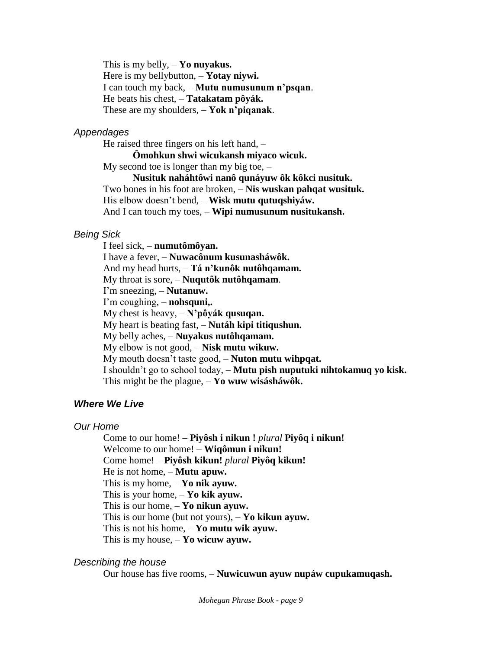This is my belly, – **Yo nuyakus.** Here is my bellybutton, – **Yotay niywi.** I can touch my back, – **Mutu numusunum n'psqan**. He beats his chest, – **Tatakatam pôyák.** These are my shoulders, – **Yok n'piqanak**.

#### *Appendages*

He raised three fingers on his left hand, –

**Ômohkun shwi wicukansh miyaco wicuk.** My second toe is longer than my big toe,  $-$ 

**Nusituk naháhtôwi nanô qunáyuw ôk kôkci nusituk.** Two bones in his foot are broken, – **Nis wuskan pahqat wusituk.** His elbow doesn't bend, – **Wisk mutu qutuqshiyáw.** And I can touch my toes, – **Wipi numusunum nusitukansh.**

## *Being Sick*

I feel sick, – **numutômôyan.** I have a fever, – **Nuwacônum kusunasháwôk.** And my head hurts, – **Tá n'kunôk nutôhqamam.** My throat is sore, – **Nuqutôk nutôhqamam**. I'm sneezing, – **Nutanuw.** I'm coughing, – **nohsquni,.** My chest is heavy, – **N'pôyák qusuqan.** My heart is beating fast, – **Nutáh kipi titiqushun.** My belly aches, – **Nuyakus nutôhqamam.** My elbow is not good, – **Nisk mutu wikuw.** My mouth doesn't taste good, – **Nuton mutu wihpqat.** I shouldn't go to school today, – **Mutu pish nuputuki nihtokamuq yo kisk.** This might be the plague, – **Yo wuw wisásháwôk.**

### *Where We Live*

#### *Our Home*

Come to our home! – **Piyôsh i nikun !** *plural* **Piyôq i nikun!** Welcome to our home! – **Wiqômun i nikun!** Come home! – **Piyôsh kikun!** *plural* **Piyôq kikun!** He is not home, – **Mutu apuw.** This is my home, – **Yo nik ayuw.** This is your home, – **Yo kik ayuw.** This is our home, – **Yo nikun ayuw.** This is our home (but not yours), – **Yo kikun ayuw.** This is not his home, – **Yo mutu wik ayuw.** This is my house, – **Yo wicuw ayuw.**

#### *Describing the house*

Our house has five rooms, – **Nuwicuwun ayuw nupáw cupukamuqash.**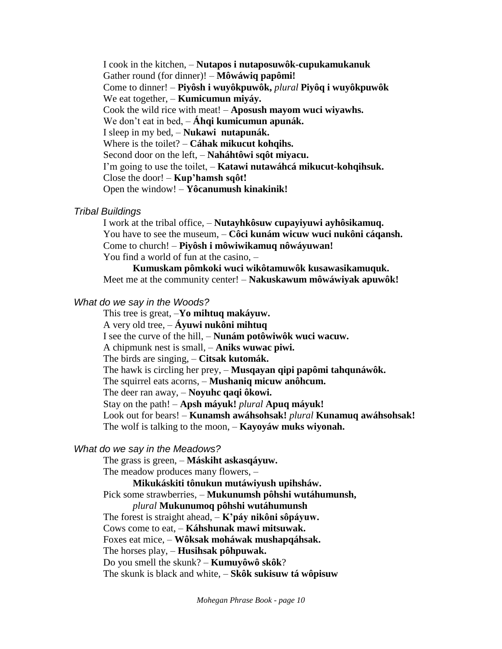I cook in the kitchen, – **Nutapos i nutaposuwôk-cupukamukanuk** Gather round (for dinner)! – **Môwáwiq papômi!** Come to dinner! – **Piyôsh i wuyôkpuwôk,** *plural* **Piyôq i wuyôkpuwôk** We eat together, – **Kumicumun miyáy.** Cook the wild rice with meat! – **Aposush mayom wuci wiyawhs.** We don't eat in bed, – **Áhqi kumicumun apunák.** I sleep in my bed, – **Nukawi nutapunák.** Where is the toilet? – **Cáhak mikucut kohqihs.** Second door on the left, – **Naháhtôwi sqôt miyacu.** I'm going to use the toilet, – **Katawi nutawáhcá mikucut-kohqihsuk.** Close the door! – **Kup'hamsh sqôt!** Open the window! – **Yôcanumush kinakinik!**

#### *Tribal Buildings*

I work at the tribal office, – **Nutayhkôsuw cupayiyuwi ayhôsikamuq.** You have to see the museum, – **Côci kunám wicuw wuci nukôni cáqansh.** Come to church! – **Piyôsh i môwiwikamuq nôwáyuwan!** You find a world of fun at the casino, –

**Kumuskam pômkoki wuci wikôtamuwôk kusawasikamuquk.** Meet me at the community center! – **Nakuskawum môwáwiyak apuwôk!**

### *What do we say in the Woods?*

This tree is great, –**Yo mihtuq makáyuw.** A very old tree, – **Áyuwi nukôni mihtuq**  I see the curve of the hill, – **Nunám potôwiwôk wuci wacuw.** A chipmunk nest is small, – **Aniks wuwac piwi.** The birds are singing, – **Citsak kutomák.** The hawk is circling her prey, – **Musqayan qipi papômi tahqunáwôk.** The squirrel eats acorns, – **Mushaniq micuw anôhcum.** The deer ran away, – **Noyuhc qaqi ôkowi.** Stay on the path! – **Apsh máyuk!** *plural* **Apuq máyuk!** Look out for bears! – **Kunamsh awáhsohsak!** *plural* **Kunamuq awáhsohsak!** The wolf is talking to the moon, – **Kayoyáw muks wiyonah.**

#### *What do we say in the Meadows?*

The grass is green, – **Máskiht askasqáyuw.**

The meadow produces many flowers, –

**Mikukáskiti tônukun mutáwiyush upihsháw.**

Pick some strawberries, – **Mukunumsh pôhshi wutáhumunsh,** 

*plural* **Mukunumoq pôhshi wutáhumunsh**

The forest is straight ahead, – **K'páy nikôni sôpáyuw.**

Cows come to eat, – **Káhshunak mawi mitsuwak.** 

Foxes eat mice, – **Wôksak moháwak mushapqáhsak.**

The horses play, – **Husihsak pôhpuwak.**

Do you smell the skunk? – **Kumuyôwô skôk**?

The skunk is black and white, – **Skôk sukisuw tá wôpisuw**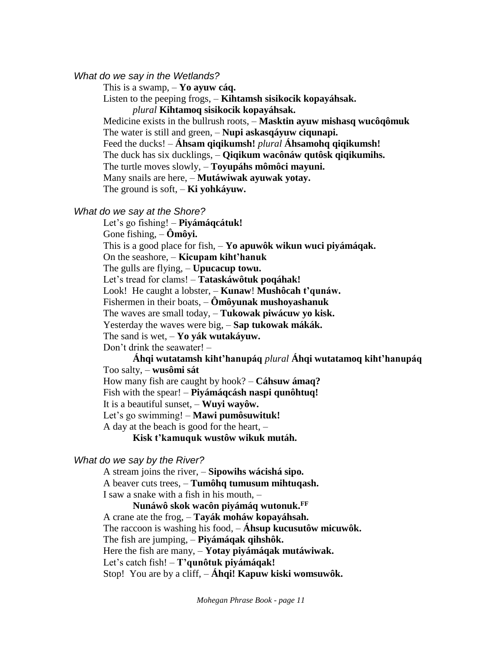*What do we say in the Wetlands?*

This is a swamp, – **Yo ayuw cáq.**

Listen to the peeping frogs, – **Kihtamsh sisikocik kopayáhsak.** 

*plural* **Kihtamoq sisikocik kopayáhsak.**

Medicine exists in the bullrush roots, – **Masktin ayuw mishasq wucôqômuk**

The water is still and green, – **Nupi askasqáyuw ciqunapi.** 

Feed the ducks! – **Áhsam qiqikumsh!** *plural* **Áhsamohq qiqikumsh!**

The duck has six ducklings, – **Qiqikum wacônáw qutôsk qiqikumihs.**

The turtle moves slowly, – **Toyupáhs mômôci mayuni.**

Many snails are here, – **Mutáwiwak ayuwak yotay.**

The ground is soft, – **Ki yohkáyuw.**

*What do we say at the Shore?*

Let's go fishing! – **Piyámáqcátuk!**

Gone fishing, – **Ômôyi.**

This is a good place for fish, – **Yo apuwôk wikun wuci piyámáqak.**

On the seashore, – **Kicupam kiht'hanuk**

The gulls are flying, – **Upucacup towu.**

Let's tread for clams! – **Tataskáwôtuk poqáhak!**

Look! He caught a lobster, – **Kunaw**! **Mushôcah t'qunáw.**

Fishermen in their boats, – **Ômôyunak mushoyashanuk**

The waves are small today, – **Tukowak piwácuw yo kisk.**

Yesterday the waves were big, – **Sap tukowak mákák.**

The sand is wet, – **Yo yák wutakáyuw.**

Don't drink the seawater! –

**Áhqi wutatamsh kiht'hanupáq** *plural* **Áhqi wutatamoq kiht'hanupáq** Too salty, – **wusômi sát**

How many fish are caught by hook? – **Cáhsuw ámaq?**

Fish with the spear! – **Piyámáqcásh naspi qunôhtuq!**

It is a beautiful sunset, – **Wuyi wayôw.**

Let's go swimming! – **Mawi pumôsuwituk!**

A day at the beach is good for the heart, –

**Kisk t'kamuquk wustôw wikuk mutáh.** 

#### *What do we say by the River?*

A stream joins the river, – **Sipowihs wácishá sipo.** A beaver cuts trees, – **Tumôhq tumusum mihtuqash.** I saw a snake with a fish in his mouth, –

**Nunáwô skok wacôn piyámáq wutonuk.FF** A crane ate the frog, – **Tayák moháw kopayáhsah.** The raccoon is washing his food, – **Áhsup kucusutôw micuwôk.** The fish are jumping, – **Piyámáqak qihshôk.** Here the fish are many, – **Yotay piyámáqak mutáwiwak.** Let's catch fish! – **T'qunôtuk piyámáqak!** Stop! You are by a cliff, – **Áhqi! Kapuw kiski womsuwôk.**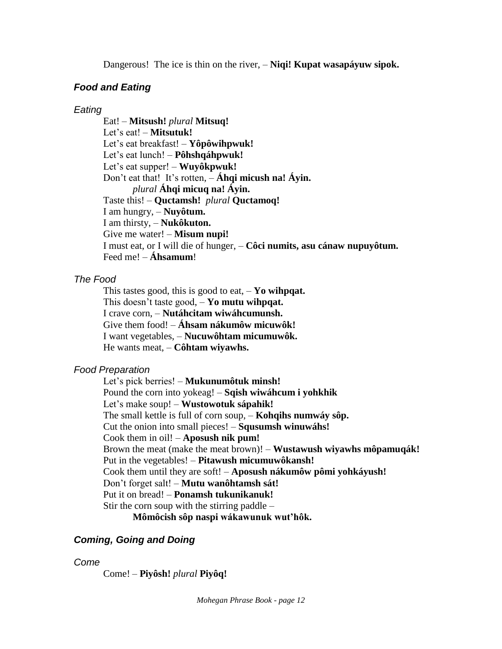Dangerous! The ice is thin on the river, – **Niqi! Kupat wasapáyuw sipok.** 

# *Food and Eating*

# *Eating*

Eat! – **Mitsush!** *plural* **Mitsuq!** Let's eat! – **Mitsutuk!** Let's eat breakfast! – **Yôpôwihpwuk!** Let's eat lunch! – **Pôhshqáhpwuk!** Let's eat supper! – **Wuyôkpwuk!** Don't eat that! It's rotten, – **Áhqi micush na! Áyin.**  *plural* **Áhqi micuq na! Áyin.** Taste this! – **Quctamsh!** *plural* **Quctamoq!** I am hungry, – **Nuyôtum.** I am thirsty, – **Nukôkuton.** Give me water! – **Misum nupi!** I must eat, or I will die of hunger, – **Côci numits, asu cánaw nupuyôtum.** Feed me! – **Áhsamum**!

# *The Food*

This tastes good, this is good to eat, – **Yo wihpqat.** This doesn't taste good, – **Yo mutu wihpqat.** I crave corn, – **Nutáhcitam wiwáhcumunsh.** Give them food! – **Áhsam nákumôw micuwôk!** I want vegetables, – **Nucuwôhtam micumuwôk.** He wants meat, – **Côhtam wiyawhs.**

# *Food Preparation*

Let's pick berries! – **Mukunumôtuk minsh!** Pound the corn into yokeag! – **Sqish wiwáhcum i yohkhik** Let's make soup! – **Wustowotuk sápahik!** The small kettle is full of corn soup, – **Kohqihs numwáy sôp.** Cut the onion into small pieces! – **Squsumsh winuwáhs!** Cook them in oil! – **Aposush nik pum!** Brown the meat (make the meat brown)! – **Wustawush wiyawhs môpamuqák!** Put in the vegetables! – **Pitawush micumuwôkansh!** Cook them until they are soft! – **Aposush nákumôw pômi yohkáyush!** Don't forget salt! – **Mutu wanôhtamsh sát!** Put it on bread! – **Ponamsh tukunikanuk!** Stir the corn soup with the stirring paddle –

**Mômôcish sôp naspi wákawunuk wut'hôk.**

# *Coming, Going and Doing*

# *Come*

Come! – **Piyôsh!** *plural* **Piyôq!**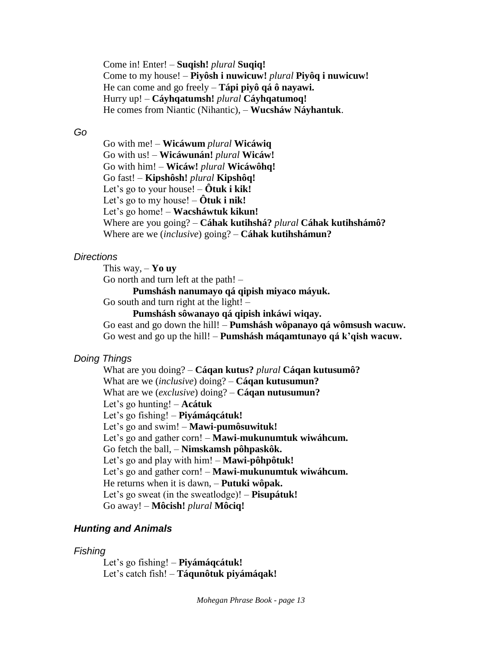Come in! Enter! – **Suqish!** *plural* **Suqiq!** Come to my house! – **Piyôsh i nuwicuw!** *plural* **Piyôq i nuwicuw!** He can come and go freely – **Tápi piyô qá ô nayawi.** Hurry up! – **Cáyhqatumsh!** *plural* **Cáyhqatumoq!** He comes from Niantic (Nihantic), – **Wucsháw Náyhantuk**.

#### *Go*

Go with me! – **Wicáwum** *plural* **Wicáwiq** Go with us! – **Wicáwunán!** *plural* **Wicáw!** Go with him! – **Wicáw!** *plural* **Wicáwôhq!** Go fast! – **Kipshôsh!** *plural* **Kipshôq!** Let's go to your house! – **Ôtuk i kik!** Let's go to my house! – **Ôtuk i nik!** Let's go home! – **Wacsháwtuk kikun!** Where are you going? – **Cáhak kutihshá?** *plural* **Cáhak kutihshámô?** Where are we (*inclusive*) going? – **Cáhak kutihshámun?**

#### *Directions*

This way, – **Yo uy** Go north and turn left at the path! –

**Pumshásh nanumayo qá qipish miyaco máyuk.**

Go south and turn right at the light! –

**Pumshásh sôwanayo qá qipish inkáwi wiqay.**

Go east and go down the hill! – **Pumshásh wôpanayo qá wômsush wacuw.** Go west and go up the hill! – **Pumshásh máqamtunayo qá k'qish wacuw.**

### *Doing Things*

What are you doing? – **Cáqan kutus?** *plural* **Cáqan kutusumô?** What are we (*inclusive*) doing? – **Cáqan kutusumun?** What are we (*exclusive*) doing? – **Cáqan nutusumun?** Let's go hunting! – **Acátuk** Let's go fishing! – **Piyámáqcátuk!** Let's go and swim! – **Mawi-pumôsuwituk!**  Let's go and gather corn! – **Mawi-mukunumtuk wiwáhcum.** Go fetch the ball, – **Nimskamsh pôhpaskôk.** Let's go and play with him! – **Mawi-pôhpôtuk!** Let's go and gather corn! – **Mawi-mukunumtuk wiwáhcum.** He returns when it is dawn, – **Putuki wôpak.** Let's go sweat (in the sweatlodge)! – **Pisupátuk!** Go away! – **Môcish!** *plural* **Môciq!**

### *Hunting and Animals*

#### *Fishing*

Let's go fishing! – **Piyámáqcátuk!** Let's catch fish! – **Táqunôtuk piyámáqak!**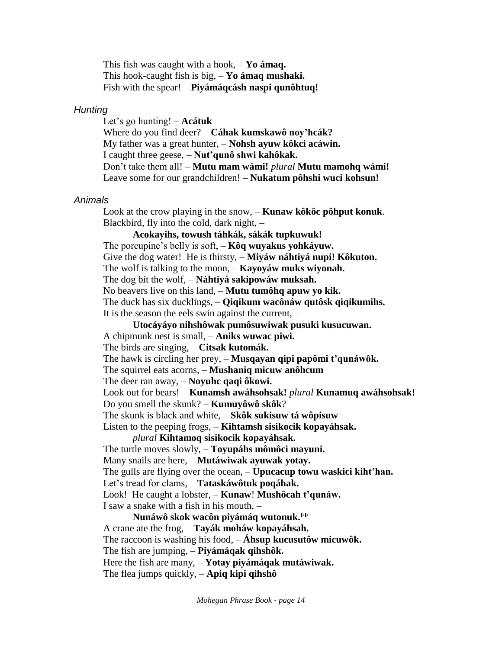This fish was caught with a hook, – **Yo ámaq.** This hook-caught fish is big, – **Yo ámaq mushaki.** Fish with the spear! – **Piyámáqcásh naspi qunôhtuq!**

#### *Hunting*

Let's go hunting! – **Acátuk** Where do you find deer? – **Cáhak kumskawô noy'hcák?** My father was a great hunter, – **Nohsh ayuw kôkci acáwin.** I caught three geese, – **Nut'qunô shwi kahôkak.** Don't take them all! – **Mutu mam wámi!** *plural* **Mutu mamohq wámi!** Leave some for our grandchildren! – **Nukatum pôhshi wuci kohsun!**

## *Animals*

Look at the crow playing in the snow, – **Kunaw kôkôc pôhput konuk**. Blackbird, fly into the cold, dark night, –

**Acokayihs, towush táhkák, sákák tupkuwuk!** The porcupine's belly is soft, – **Kôq wuyakus yohkáyuw.** Give the dog water! He is thirsty, – **Miyáw náhtiyá nupi! Kôkuton.** The wolf is talking to the moon, – **Kayoyáw muks wiyonah.** The dog bit the wolf, – **Náhtiyá sakipowáw muksah.** No beavers live on this land, – **Mutu tumôhq apuw yo kik.** The duck has six ducklings, – **Qiqikum wacônáw qutôsk qiqikumihs.** It is the season the eels swin against the current, – **Utocáyáyo nihshôwak pumôsuwiwak pusuki kusucuwan.** A chipmunk nest is small, – **Aniks wuwac piwi.** The birds are singing, – **Citsak kutomák.** The hawk is circling her prey, – **Musqayan qipi papômi t'qunáwôk.** The squirrel eats acorns, – **Mushaniq micuw anôhcum** The deer ran away, – **Noyuhc qaqi ôkowi.** Look out for bears! – **Kunamsh awáhsohsak!** *plural* **Kunamuq awáhsohsak!** Do you smell the skunk? – **Kumuyôwô skôk**? The skunk is black and white, – **Skôk sukisuw tá wôpisuw** Listen to the peeping frogs, – **Kihtamsh sisikocik kopayáhsak.**  *plural* **Kihtamoq sisikocik kopayáhsak.** The turtle moves slowly, – **Toyupáhs mômôci mayuni.** Many snails are here, – **Mutáwiwak ayuwak yotay.** The gulls are flying over the ocean, – **Upucacup towu waskici kiht'han.** Let's tread for clams, – **Tataskáwôtuk poqáhak.** Look! He caught a lobster, – **Kunaw**! **Mushôcah t'qunáw.** I saw a snake with a fish in his mouth, – **Nunáwô skok wacôn piyámáq wutonuk.FF**

A crane ate the frog, – **Tayák moháw kopayáhsah.** The raccoon is washing his food, – **Áhsup kucusutôw micuwôk.** The fish are jumping, – **Piyámáqak qihshôk.** Here the fish are many, – **Yotay piyámáqak mutáwiwak.** The flea jumps quickly, – **Apiq kipi qihshô**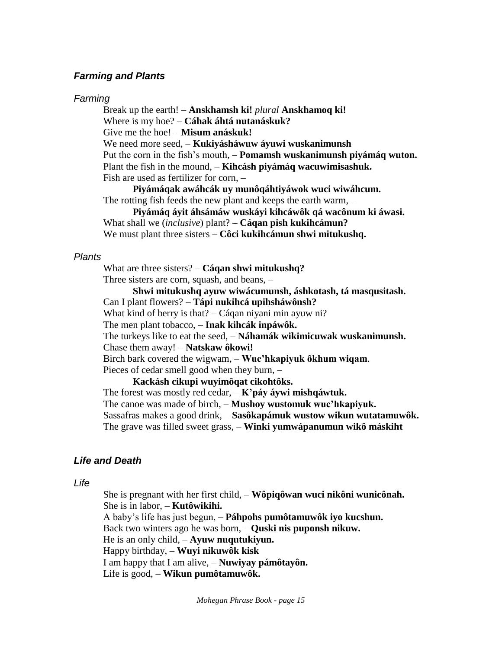### *Farming and Plants*

#### *Farming*

Break up the earth! – **Anskhamsh ki!** *plural* **Anskhamoq ki!** Where is my hoe? – **Cáhak áhtá nutanáskuk?** Give me the hoe! – **Misum anáskuk!** We need more seed, – **Kukiyásháwuw áyuwi wuskanimunsh** Put the corn in the fish's mouth, – **Pomamsh wuskanimunsh piyámáq wuton.**  Plant the fish in the mound, – **Kihcásh piyámáq wacuwimisashuk.** Fish are used as fertilizer for corn, –

**Piyámáqak awáhcák uy munôqáhtiyáwok wuci wiwáhcum.** The rotting fish feeds the new plant and keeps the earth warm, –

**Piyámáq áyit áhsámáw wuskáyi kihcáwôk qá wacônum ki áwasi.** What shall we (*inclusive*) plant? – **Cáqan pish kukihcámun?** We must plant three sisters – **Côci kukihcámun shwi mitukushq.**

#### *Plants*

What are three sisters? – **Cáqan shwi mitukushq?** Three sisters are corn, squash, and beans, –

**Shwi mitukushq ayuw wiwácumunsh, áshkotash, tá masqusitash.**

Can I plant flowers? – **Tápi nukihcá upihsháwônsh?**

What kind of berry is that? – Cáqan niyani min ayuw ni?

The men plant tobacco, – **Inak kihcák inpáwôk.**

The turkeys like to eat the seed, – **Náhamák wikimicuwak wuskanimunsh.**

Chase them away! – **Natskaw ôkowi!**

Birch bark covered the wigwam, – **Wuc'hkapiyuk ôkhum wiqam**.

Pieces of cedar smell good when they burn, –

**Kackásh cikupi wuyimôqat cikohtôks.**

The forest was mostly red cedar, – **K'páy áywi mishqáwtuk.**

The canoe was made of birch, – **Mushoy wustomuk wuc'hkapiyuk.**

Sassafras makes a good drink, – **Sasôkapámuk wustow wikun wutatamuwôk.**

The grave was filled sweet grass, – **Winki yumwápanumun wikô máskiht** 

### *Life and Death*

*Life*

She is pregnant with her first child, – **Wôpiqôwan wuci nikôni wunicônah.** She is in labor, – **Kutôwikihi.**

A baby's life has just begun, – **Páhpohs pumôtamuwôk iyo kucshun.**

Back two winters ago he was born, – **Quski nis puponsh nikuw.**

He is an only child, – **Ayuw nuqutukiyun.**

Happy birthday, – **Wuyi nikuwôk kisk**

I am happy that I am alive, – **Nuwiyay pámôtayôn.**

Life is good, – **Wikun pumôtamuwôk.**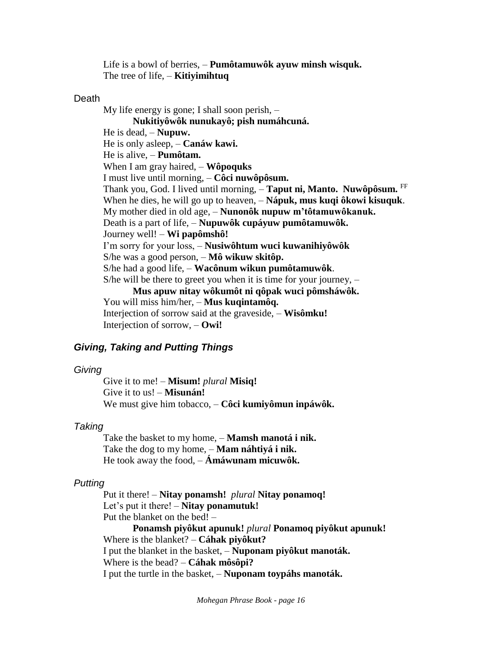Life is a bowl of berries, – **Pumôtamuwôk ayuw minsh wisquk.** The tree of life, – **Kitiyimihtuq**

#### Death

My life energy is gone; I shall soon perish, – **Nukitiyôwôk nunukayô; pish numáhcuná.** He is dead, – **Nupuw.** He is only asleep, – **Canáw kawi.** He is alive, – **Pumôtam.** When I am gray haired, – **Wôpoquks** I must live until morning, – **Côci nuwôpôsum.** Thank you, God. I lived until morning, – **Taput ni, Manto. Nuwôpôsum.** FF When he dies, he will go up to heaven, – **Nápuk, mus kuqi ôkowi kisuquk**. My mother died in old age, – **Nunonôk nupuw m'tôtamuwôkanuk.** Death is a part of life, – **Nupuwôk cupáyuw pumôtamuwôk.** Journey well! – **Wi papômshô!** I'm sorry for your loss, – **Nusiwôhtum wuci kuwanihiyôwôk** S/he was a good person, – **Mô wikuw skitôp.** S/he had a good life, – **Wacônum wikun pumôtamuwôk**. S/he will be there to greet you when it is time for your journey, – **Mus apuw nitay wôkumôt ni qôpak wuci pômsháwôk.** You will miss him/her, – **Mus kuqintamôq.** Interjection of sorrow said at the graveside, – **Wisômku!** Interjection of sorrow, – **Owi!**

# *Giving, Taking and Putting Things*

### *Giving*

Give it to me! – **Misum!** *plural* **Misiq!** Give it to us! – **Misunán!** We must give him tobacco, – **Côci kumiyômun inpáwôk.**

### *Taking*

Take the basket to my home, – **Mamsh manotá i nik.** Take the dog to my home, – **Mam náhtiyá i nik.** He took away the food, – **Ámáwunam micuwôk.**

# *Putting*

Put it there! – **Nitay ponamsh!** *plural* **Nitay ponamoq!** Let's put it there! – **Nitay ponamutuk!** Put the blanket on the bed! – **Ponamsh piyôkut apunuk!** *plural* **Ponamoq piyôkut apunuk!** Where is the blanket? – **Cáhak piyôkut?** I put the blanket in the basket, – **Nuponam piyôkut manoták.** Where is the bead? – **Cáhak môsôpi?**

I put the turtle in the basket, – **Nuponam toypáhs manoták.**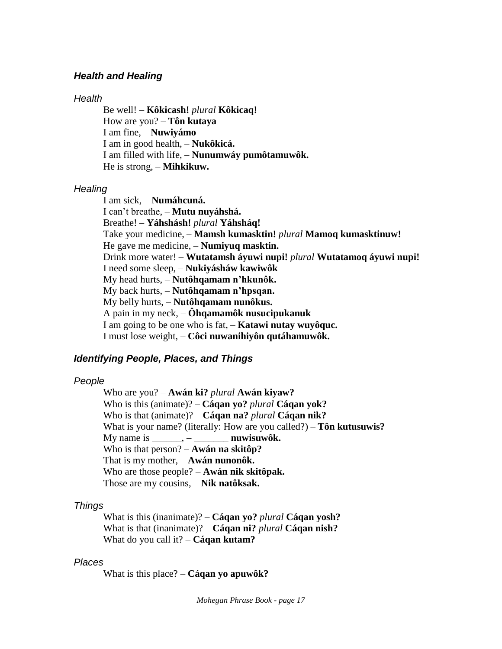#### *Health and Healing*

#### *Health*

Be well! – **Kôkicash!** *plural* **Kôkicaq!** How are you? – **Tôn kutaya**  I am fine, – **Nuwiyámo** I am in good health, – **Nukôkicá.** I am filled with life, – **Nunumwáy pumôtamuwôk.** He is strong, – **Mihkikuw.**

#### *Healing*

I am sick, – **Numáhcuná.** I can't breathe, – **Mutu nuyáhshá.** Breathe! – **Yáhshásh!** *plural* **Yáhsháq!** Take your medicine, – **Mamsh kumasktin!** *plural* **Mamoq kumasktinuw!** He gave me medicine, – **Numiyuq masktin.** Drink more water! – **Wutatamsh áyuwi nupi!** *plural* **Wutatamoq áyuwi nupi!** I need some sleep, – **Nukiyásháw kawiwôk** My head hurts, – **Nutôhqamam n'hkunôk.** My back hurts, – **Nutôhqamam n'hpsqan.** My belly hurts, – **Nutôhqamam nunôkus.** A pain in my neck, – **Ôhqamamôk nusucipukanuk** I am going to be one who is fat, – **Katawi nutay wuyôquc.** I must lose weight, – **Côci nuwanihiyôn qutáhamuwôk.**

#### *Identifying People, Places, and Things*

#### *People*

Who are you? – **Awán ki?** *plural* **Awán kiyaw?** Who is this (animate)? – **Cáqan yo?** *plural* **Cáqan yok?** Who is that (animate)? – **Cáqan na?** *plural* **Cáqan nik?** What is your name? (literally: How are you called?) – **Tôn kutusuwis?**  My name is \_\_\_\_\_\_, – \_\_\_\_\_\_\_ **nuwisuwôk.** Who is that person? – **Awán na skitôp?**  That is my mother, – **Awán nunonôk.** Who are those people? – **Awán nik skitôpak.** Those are my cousins, – **Nik natôksak.**

### *Things*

What is this (inanimate)? – **Cáqan yo?** *plural* **Cáqan yosh?** What is that (inanimate)? – **Cáqan ni?** *plural* **Cáqan nish?** What do you call it? – **Cáqan kutam?**

#### *Places*

What is this place? – **Cáqan yo apuwôk?**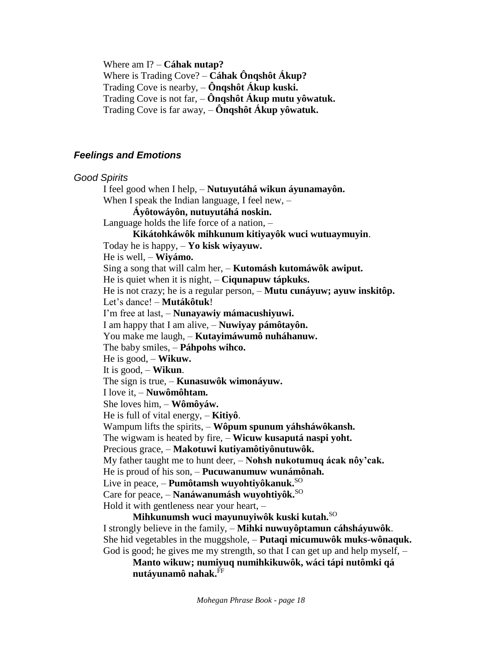Where am I? – **Cáhak nutap?**

Where is Trading Cove? – **Cáhak Ônqshôt Ákup?** Trading Cove is nearby, – **Ônqshôt Ákup kuski.** Trading Cove is not far, – **Ônqshôt Ákup mutu yôwatuk.** Trading Cove is far away, – **Ônqshôt Ákup yôwatuk.**

# *Feelings and Emotions*

*Good Spirits* I feel good when I help, – **Nutuyutáhá wikun áyunamayôn.** When I speak the Indian language, I feel new,  $-$ **Áyôtowáyôn, nutuyutáhá noskin.** Language holds the life force of a nation, – **Kikátohkáwôk mihkunum kitiyayôk wuci wutuaymuyin**. Today he is happy, – **Yo kisk wiyayuw.** He is well, – **Wiyámo.** Sing a song that will calm her, – **Kutomásh kutomáwôk awiput.** He is quiet when it is night, – **Ciqunapuw tápkuks.** He is not crazy; he is a regular person, – **Mutu cunáyuw; ayuw inskitôp.** Let's dance! – **Mutákôtuk**! I'm free at last, – **Nunayawiy mámacushiyuwi.** I am happy that I am alive, – **Nuwiyay pámôtayôn.** You make me laugh, – **Kutayimáwumô nuháhanuw.** The baby smiles, – **Páhpohs wihco.** He is good, – **Wikuw.** It is good, – **Wikun**. The sign is true, – **Kunasuwôk wimonáyuw.** I love it, – **Nuwômôhtam.** She loves him, – **Wômôyáw.** He is full of vital energy, – **Kitiyô**. Wampum lifts the spirits, – **Wôpum spunum yáhsháwôkansh.** The wigwam is heated by fire, – **Wicuw kusaputá naspi yoht.** Precious grace, – **Makotuwi kutiyamôtiyônutuwôk.** My father taught me to hunt deer, – **Nohsh nukotumuq ácak nôy'cak.** He is proud of his son, – **Pucuwanumuw wunámônah.** Live in peace, – **Pumôtamsh wuyohtiyôkanuk.**SO Care for peace, – **Nanáwanumásh wuyohtiyôk.**SO Hold it with gentleness near your heart, – **Mihkunumsh wuci mayunuyiwôk kuski kutah.**SO

I strongly believe in the family, – **Mihki nuwuyôptamun cáhsháyuwôk**. She hid vegetables in the muggshole, – **Putaqi micumuwôk muks-wônaquk.** God is good; he gives me my strength, so that I can get up and help myself, –

**Manto wikuw; numiyuq numihkikuwôk, wáci tápi nutômki qá nutáyunamô nahak.**FF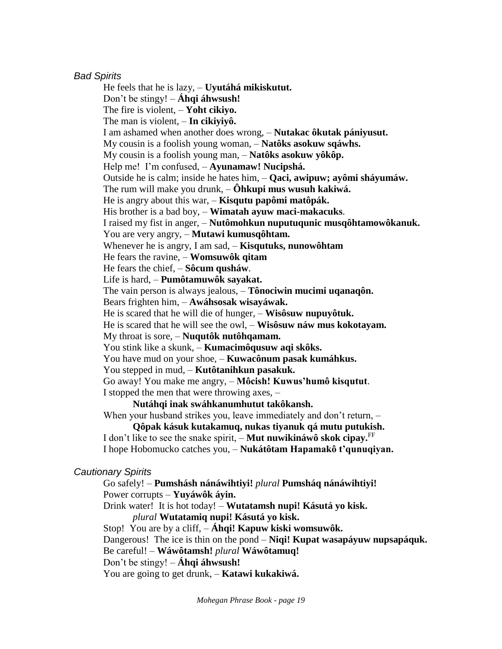### *Bad Spirits*

He feels that he is lazy, – **Uyutáhá mikiskutut.** Don't be stingy! – **Áhqi áhwsush!**  The fire is violent, – **Yoht cikiyo.** The man is violent, – **In cikiyiyô.** I am ashamed when another does wrong, – **Nutakac ôkutak pániyusut.** My cousin is a foolish young woman, – **Natôks asokuw sqáwhs.** My cousin is a foolish young man, – **Natôks asokuw yôkôp.** Help me! I'm confused, – **Ayunamaw! Nucipshá.** Outside he is calm; inside he hates him, – **Qaci, awipuw; ayômi sháyumáw.** The rum will make you drunk, – **Ôhkupi mus wusuh kakiwá.** He is angry about this war, – **Kisqutu papômi matôpák.** His brother is a bad boy, – **Wimatah ayuw maci-makacuks**. I raised my fist in anger, – **Nutômohkun nuputuqunic musqôhtamowôkanuk.** You are very angry, – **Mutawi kumusqôhtam.** Whenever he is angry, I am sad, – **Kisqutuks, nunowôhtam** He fears the ravine, – **Womsuwôk qitam** He fears the chief, – **Sôcum qusháw**. Life is hard, – **Pumôtamuwôk sayakat.** The vain person is always jealous, – **Tônociwin mucimi uqanaqôn.** Bears frighten him, – **Awáhsosak wisayáwak.** He is scared that he will die of hunger, – **Wisôsuw nupuyôtuk.** He is scared that he will see the owl, – **Wisôsuw náw mus kokotayam.** My throat is sore, – **Nuqutôk nutôhqamam.** You stink like a skunk, – **Kumacimôqusuw aqi skôks.** You have mud on your shoe, – **Kuwacônum pasak kumáhkus.** You stepped in mud, – **Kutôtanihkun pasakuk.** Go away! You make me angry, – **Môcish! Kuwus'humô kisqutut**. I stopped the men that were throwing axes, – **Nutáhqi inak swáhkanumhutut takôkansh.** When your husband strikes you, leave immediately and don't return,  $-$ **Qôpak kásuk kutakamuq, nukas tiyanuk qá mutu putukish.**

I don't like to see the snake spirit, – **Mut nuwikináwô skok cipay.**FF I hope Hobomucko catches you, – **Nukátôtam Hapamakô t'qunuqiyan.**

### *Cautionary Spirits*

Go safely! – **Pumshásh nánáwihtiyi!** *plural* **Pumsháq nánáwihtiyi!** Power corrupts – **Yuyáwôk áyin.**

Drink water! It is hot today! – **Wutatamsh nupi! Kásutá yo kisk.** *plural* **Wutatamiq nupi! Kásutá yo kisk.**

Stop! You are by a cliff, – **Áhqi! Kapuw kiski womsuwôk.**

Dangerous! The ice is thin on the pond – **Niqi! Kupat wasapáyuw nupsapáquk.** 

Be careful! – **Wáwôtamsh!** *plural* **Wáwôtamuq!**

Don't be stingy! – **Áhqi áhwsush!** 

You are going to get drunk, – **Katawi kukakiwá.**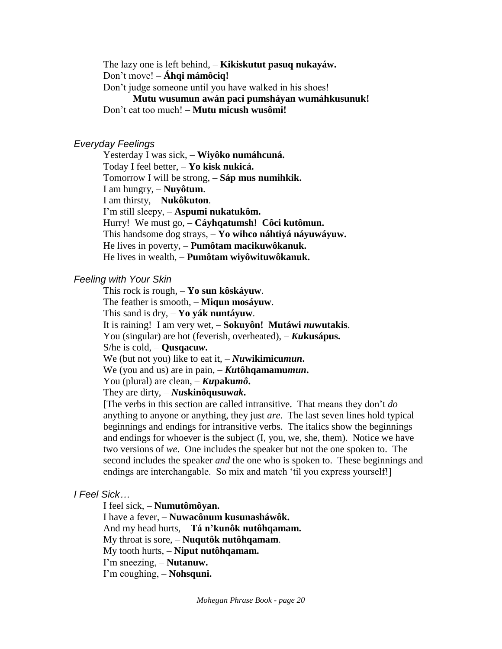The lazy one is left behind, – **Kikiskutut pasuq nukayáw.** Don't move! – **Áhqi mámôciq!** Don't judge someone until you have walked in his shoes! – **Mutu wusumun awán paci pumsháyan wumáhkusunuk!** Don't eat too much! – **Mutu micush wusômi!**

#### *Everyday Feelings*

Yesterday I was sick, – **Wiyôko numáhcuná.** Today I feel better, – **Yo kisk nukicá.** Tomorrow I will be strong, – **Sáp mus numihkik.** I am hungry, – **Nuyôtum**. I am thirsty, – **Nukôkuton**. I'm still sleepy, – **Aspumi nukatukôm.** Hurry! We must go, – **Cáyhqatumsh! Côci kutômun.** This handsome dog strays, – **Yo wihco náhtiyá náyuwáyuw.** He lives in poverty, – **Pumôtam macikuwôkanuk.** He lives in wealth, – **Pumôtam wiyôwituwôkanuk.**

#### *Feeling with Your Skin*

This rock is rough, – **Yo sun kôskáyuw**.

The feather is smooth, – **Miqun mosáyuw**.

This sand is dry, – **Yo yák nuntáyuw**.

It is raining! I am very wet, – **Sokuyôn! Mutáwi** *nu***wutakis**.

You (singular) are hot (feverish, overheated), – *Ku***kusápus.**

S/he is cold, – **Qusqacu***w***.**

We (but not you) like to eat it, – *Nu***wikimicu***mun***.**

We (you and us) are in pain, – *Ku***tôhqamamu***mun***.**

You (plural) are clean, – *Ku***paku***mô***.**

They are dirty, – *Nu***skinôqusuw***ak***.**

[The verbs in this section are called intransitive. That means they don't *do* anything to anyone or anything, they just *are*. The last seven lines hold typical beginnings and endings for intransitive verbs. The italics show the beginnings and endings for whoever is the subject (I, you, we, she, them). Notice we have two versions of *we*. One includes the speaker but not the one spoken to. The second includes the speaker *and* the one who is spoken to. These beginnings and endings are interchangable. So mix and match 'til you express yourself!]

### *I Feel Sick…*

I feel sick, – **Numutômôyan.**

I have a fever, – **Nuwacônum kusunasháwôk.**

And my head hurts, – **Tá n'kunôk nutôhqamam.**

My throat is sore, – **Nuqutôk nutôhqamam**.

My tooth hurts, – **Niput nutôhqamam.**

I'm sneezing, – **Nutanuw.**

I'm coughing, – **Nohsquni.**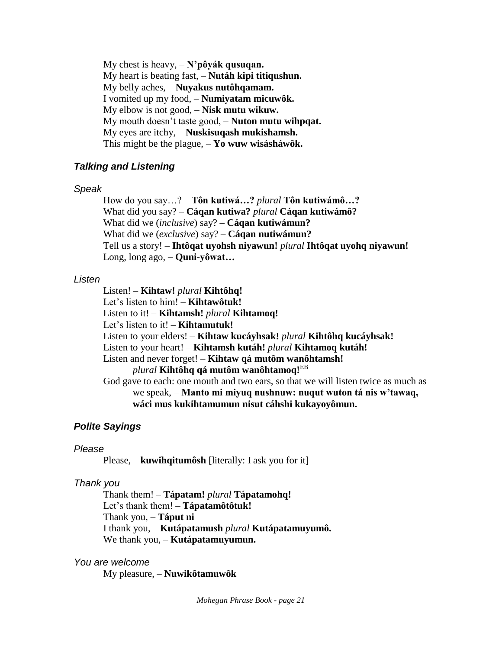My chest is heavy, – **N'pôyák qusuqan.** My heart is beating fast, – **Nutáh kipi titiqushun.** My belly aches, – **Nuyakus nutôhqamam.** I vomited up my food, – **Numiyatam micuwôk.** My elbow is not good, – **Nisk mutu wikuw.** My mouth doesn't taste good, – **Nuton mutu wihpqat.** My eyes are itchy, – **Nuskisuqash mukishamsh.** This might be the plague, – **Yo wuw wisásháwôk.**

### *Talking and Listening*

#### *Speak*

How do you say…? – **Tôn kutiwá…?** *plural* **Tôn kutiwámô…?** What did you say? – **Cáqan kutiwa?** *plural* **Cáqan kutiwámô?** What did we (*inclusive*) say? – **Cáqan kutiwámun?**  What did we (*exclusive*) say? – **Cáqan nutiwámun?** Tell us a story! – **Ihtôqat uyohsh niyawun!** *plural* **Ihtôqat uyohq niyawun!** Long, long ago, – **Quni-yôwat…**

### *Listen*

Listen! – **Kihtaw!** *plural* **Kihtôhq!** Let's listen to him! – **Kihtawôtuk!** Listen to it! – **Kihtamsh!** *plural* **Kihtamoq!** Let's listen to it! – **Kihtamutuk!** Listen to your elders! – **Kihtaw kucáyhsak!** *plural* **Kihtôhq kucáyhsak!** Listen to your heart! – **Kihtamsh kutáh!** *plural* **Kihtamoq kutáh!** Listen and never forget! – **Kihtaw qá mutôm wanôhtamsh!** *plural* **Kihtôhq qá mutôm wanôhtamoq!**EB God gave to each: one mouth and two ears, so that we will listen twice as much as we speak, – **Manto mi miyuq nushnuw: nuqut wuton tá nis w'tawaq, wáci mus kukihtamumun nisut cáhshi kukayoyômun.**

### *Polite Sayings*

### *Please*

Please, – **kuwihqitumôsh** [literally: I ask you for it]

### *Thank you*

Thank them! – **Tápatam!** *plural* **Tápatamohq!** Let's thank them! – **Tápatamôtôtuk!** Thank you, – **Táput ni** I thank you, – **Kutápatamush** *plural* **Kutápatamuyumô.** We thank you, – **Kutápatamuyumun.**

*You are welcome*

My pleasure, – **Nuwikôtamuwôk**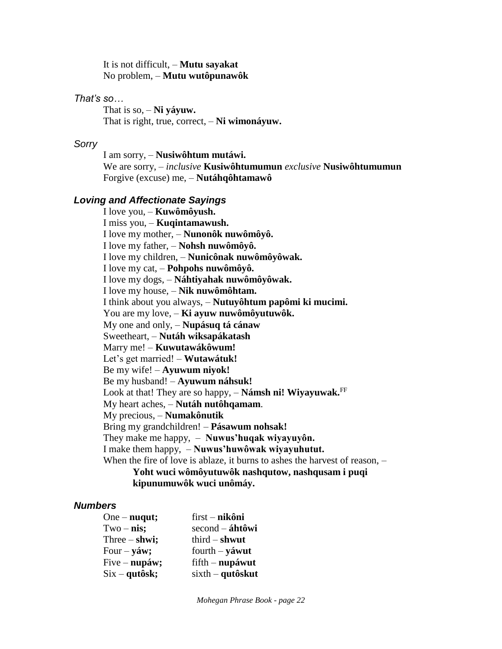It is not difficult, – **Mutu sayakat** No problem, – **Mutu wutôpunawôk**

### *That's so…*

That is so, – **Ni yáyuw.** That is right, true, correct, – **Ni wimonáyuw.**

### *Sorry*

I am sorry, – **Nusiwôhtum mutáwi.** We are sorry, – *inclusive* **Kusiwôhtumumun** *exclusive* **Nusiwôhtumumun** Forgive (excuse) me, – **Nutáhqôhtamawô**

### *Loving and Affectionate Sayings*

I love you, – **Kuwômôyush.** I miss you, – **Kuqintamawush.** I love my mother, – **Nunonôk nuwômôyô.** I love my father, – **Nohsh nuwômôyô.** I love my children, – **Nunicônak nuwômôyôwak.** I love my cat, – **Pohpohs nuwômôyô.** I love my dogs, – **Náhtiyahak nuwômôyôwak.** I love my house, – **Nik nuwômôhtam.** I think about you always, – **Nutuyôhtum papômi ki mucimi.** You are my love, – **Ki ayuw nuwômôyutuwôk.** My one and only, – **Nupásuq tá cánaw** Sweetheart, – **Nutáh wiksapákatash** Marry me! – **Kuwutawákôwum!** Let's get married! – **Wutawátuk!** Be my wife! – **Ayuwum niyok!** Be my husband! – **Ayuwum náhsuk!** Look at that! They are so happy, – **Námsh ni! Wiyayuwak.**FF My heart aches, – **Nutáh nutôhqamam**. My precious, – **Numakônutik** Bring my grandchildren! – **Pásawum nohsak!** They make me happy, – **Nuwus'huqak wiyayuyôn.** I make them happy, – **Nuwus'huwôwak wiyayuhutut.** When the fire of love is ablaze, it burns to ashes the harvest of reason,  $-$ **Yoht wuci wômôyutuwôk nashqutow, nashqusam i puqi** 

#### **kipunumuwôk wuci unômáy.**

### *Numbers*

| $One - nuqut;$  | $first - nikôni$    |
|-----------------|---------------------|
| $Two - nis$ ;   | $second - áhtôwi$   |
| Three $-$ shwi; | $third - shwut$     |
| Four $-$ yáw;   | fourth $-$ yáwut    |
| $Five - nupáw;$ | $f$ ifth – nupáwut  |
| $Six - qutôsk;$ | $s$ ixth – qutôskut |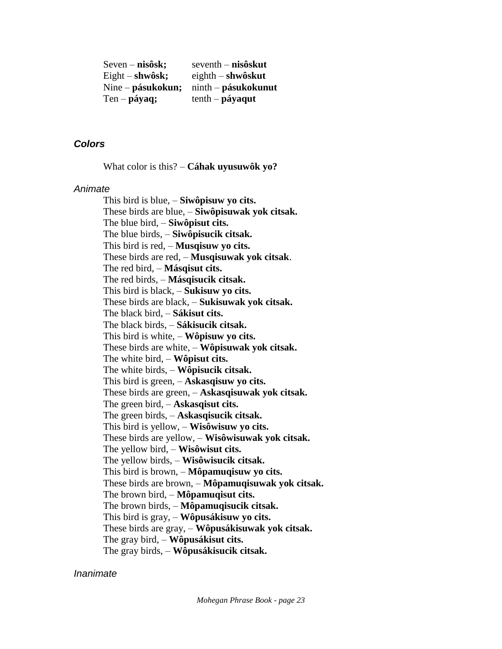| $S$ even – nisôsk; | $seventh - nisôskut$   |
|--------------------|------------------------|
| Eight $-$ shwôsk;  | $eighth$ – shwôskut    |
| Nine – pásukokun;  | $n$ inth – pásukokunut |
| $Ten - páyaq;$     | $tenth$ – páyaqut      |

### *Colors*

What color is this? – **Cáhak uyusuwôk yo?**

#### *Animate*

This bird is blue, – **Siwôpisuw yo cits.** These birds are blue, – **Siwôpisuwak yok citsak.** The blue bird, – **Siwôpisut cits.** The blue birds, – **Siwôpisucik citsak.** This bird is red, – **Musqisuw yo cits.** These birds are red, – **Musqisuwak yok citsak**. The red bird, – **Másqisut cits.** The red birds, – **Másqisucik citsak.** This bird is black, – **Sukisuw yo cits.** These birds are black, – **Sukisuwak yok citsak.** The black bird, – **Sákisut cits.** The black birds, – **Sákisucik citsak.** This bird is white, – **Wôpisuw yo cits.** These birds are white, – **Wôpisuwak yok citsak.** The white bird, – **Wôpisut cits.** The white birds, – **Wôpisucik citsak.** This bird is green, – **Askasqisuw yo cits.** These birds are green, – **Askasqisuwak yok citsak.** The green bird, – **Askasqisut cits.** The green birds, – **Askasqisucik citsak.** This bird is yellow, – **Wisôwisuw yo cits.** These birds are yellow, – **Wisôwisuwak yok citsak.** The yellow bird, – **Wisôwisut cits.** The yellow birds, – **Wisôwisucik citsak.** This bird is brown, – **Môpamuqisuw yo cits.** These birds are brown, – **Môpamuqisuwak yok citsak.** The brown bird, – **Môpamuqisut cits.** The brown birds, – **Môpamuqisucik citsak.** This bird is gray, – **Wôpusákisuw yo cits.** These birds are gray, – **Wôpusákisuwak yok citsak.** The gray bird, – **Wôpusákisut cits.** The gray birds, – **Wôpusákisucik citsak.**

#### *Inanimate*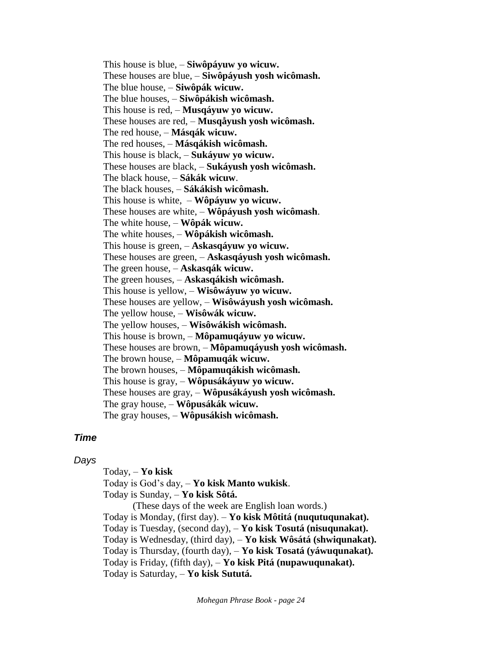This house is blue, – **Siwôpáyuw yo wicuw.** These houses are blue, – **Siwôpáyush yosh wicômash.** The blue house, – **Siwôpák wicuw.** The blue houses, – **Siwôpákish wicômash.** This house is red, – **Musqáyuw yo wicuw.** These houses are red, – **Musqåyush yosh wicômash.** The red house, – **Másqák wicuw.** The red houses, – **Másqákish wicômash.** This house is black, – **Sukáyuw yo wicuw.** These houses are black, – **Sukáyush yosh wicômash.** The black house, – **Sákák wicuw**. The black houses, – **Sákákish wicômash.** This house is white, – **Wôpáyuw yo wicuw.** These houses are white, – **Wôpáyush yosh wicômash**. The white house, – **Wôpák wicuw.** The white houses, – **Wôpákish wicômash.** This house is green, – **Askasqáyuw yo wicuw.** These houses are green, – **Askasqáyush yosh wicômash.** The green house, – **Askasqák wicuw.** The green houses, – **Askasqákish wicômash.** This house is yellow, – **Wisôwáyuw yo wicuw.** These houses are yellow, – **Wisôwáyush yosh wicômash.** The yellow house, – **Wisôwák wicuw.** The yellow houses, – **Wisôwákish wicômash.** This house is brown, – **Môpamuqáyuw yo wicuw.** These houses are brown, – **Môpamuqáyush yosh wicômash.** The brown house, – **Môpamuqák wicuw.** The brown houses, – **Môpamuqákish wicômash.** This house is gray, – **Wôpusákáyuw yo wicuw.** These houses are gray, – **Wôpusákáyush yosh wicômash.** The gray house, – **Wôpusákák wicuw.** The gray houses, – **Wôpusákish wicômash.**

#### *Time*

#### *Days*

Today, – **Yo kisk**

Today is God's day, – **Yo kisk Manto wukisk**. Today is Sunday, – **Yo kisk Sôtá.** 

(These days of the week are English loan words.) Today is Monday, (first day). – **Yo kisk Môtitá (nuqutuqunakat).** Today is Tuesday, (second day), – **Yo kisk Tosutá (nisuqunakat).** Today is Wednesday, (third day), – **Yo kisk Wôsátá (shwiqunakat).** Today is Thursday, (fourth day), – **Yo kisk Tosatá (yáwuqunakat).** Today is Friday, (fifth day), – **Yo kisk Pitá (nupawuqunakat).** Today is Saturday, – **Yo kisk Sututá.**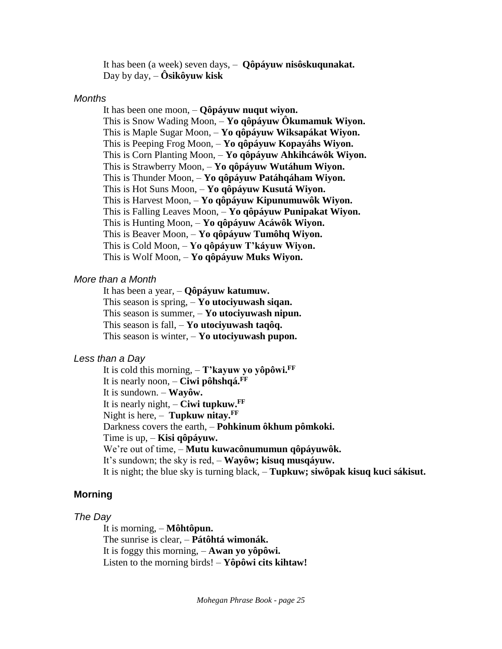It has been (a week) seven days, – **Qôpáyuw nisôskuqunakat.** Day by day, – **Ôsikôyuw kisk**

#### *Months*

It has been one moon, – **Qôpáyuw nuqut wiyon.** This is Snow Wading Moon, – **Yo qôpáyuw Ôkumamuk Wiyon.** This is Maple Sugar Moon, – **Yo qôpáyuw Wiksapákat Wiyon.** This is Peeping Frog Moon, – **Yo qôpáyuw Kopayáhs Wiyon.** This is Corn Planting Moon, – **Yo qôpáyuw Ahkihcáwôk Wiyon.** This is Strawberry Moon, – **Yo qôpáyuw Wutáhum Wiyon.** This is Thunder Moon, – **Yo qôpáyuw Patáhqáham Wiyon.** This is Hot Suns Moon, – **Yo qôpáyuw Kusutá Wiyon.** This is Harvest Moon, – **Yo qôpáyuw Kipunumuwôk Wiyon.** This is Falling Leaves Moon, – **Yo qôpáyuw Punipakat Wiyon.** This is Hunting Moon, – **Yo qôpáyuw Acáwôk Wiyon.** This is Beaver Moon, – **Yo qôpáyuw Tumôhq Wiyon.** This is Cold Moon, – **Yo qôpáyuw T'káyuw Wiyon.** This is Wolf Moon, – **Yo qôpáyuw Muks Wiyon.**

#### *More than a Month*

It has been a year, – **Qôpáyuw katumuw.** This season is spring, – **Yo utociyuwash siqan.** This season is summer, – **Yo utociyuwash nipun.** This season is fall, – **Yo utociyuwash taqôq.** This season is winter, – **Yo utociyuwash pupon.**

#### *Less than a Day*

It is cold this morning, – **T'kayuw yo yôpôwi.FF** It is nearly noon, – **Ciwi pôhshqá.FF** It is sundown. – **Wayôw.** It is nearly night, – **Ciwi tupkuw.FF** Night is here, – **Tupkuw nitay.FF** Darkness covers the earth, – **Pohkinum ôkhum pômkoki.** Time is up, – **Kisi qôpáyuw.** We're out of time, – **Mutu kuwacônumumun qôpáyuwôk.** It's sundown; the sky is red, – **Wayôw; kisuq musqáyuw.** It is night; the blue sky is turning black, – **Tupkuw; siwôpak kisuq kuci sákisut.**

# **Morning**

#### *The Day*

It is morning, – **Môhtôpun.** The sunrise is clear, – **Pátôhtá wimonák.** It is foggy this morning, – **Awan yo yôpôwi.** Listen to the morning birds! – **Yôpôwi cits kihtaw!**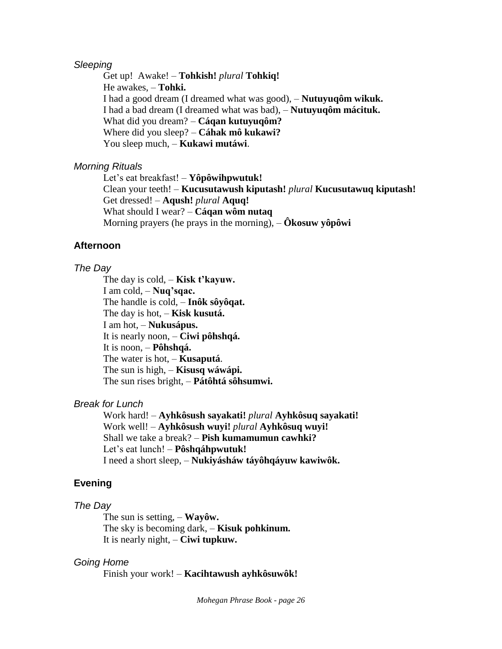### *Sleeping*

Get up! Awake! – **Tohkish!** *plural* **Tohkiq!** He awakes, – **Tohki.** I had a good dream (I dreamed what was good), – **Nutuyuqôm wikuk.** I had a bad dream (I dreamed what was bad), – **Nutuyuqôm mácituk.** What did you dream? – **Cáqan kutuyuqôm?** Where did you sleep? – **Cáhak mô kukawi?** You sleep much, – **Kukawi mutáwi**.

#### *Morning Rituals*

Let's eat breakfast! – **Yôpôwihpwutuk!** Clean your teeth! – **Kucusutawush kiputash!** *plural* **Kucusutawuq kiputash!** Get dressed! – **Aqush!** *plural* **Aquq!**  What should I wear? – **Cáqan wôm nutaq** Morning prayers (he prays in the morning), – **Ôkosuw yôpôwi**

#### **Afternoon**

#### *The Day*

The day is cold, – **Kisk t'kayuw.** I am cold, – **Nuq'sqac.** The handle is cold, – **Inôk sôyôqat.** The day is hot, – **Kisk kusutá.** I am hot, – **Nukusápus.** It is nearly noon, – **Ciwi pôhshqá.** It is noon, – **Pôhshqá.** The water is hot, – **Kusaputá**. The sun is high, – **Kisusq wáwápi.** The sun rises bright, – **Pátôhtá sôhsumwi.**

### *Break for Lunch*

Work hard! – **Ayhkôsush sayakati!** *plural* **Ayhkôsuq sayakati!** Work well! – **Ayhkôsush wuyi!** *plural* **Ayhkôsuq wuyi!** Shall we take a break? – **Pish kumamumun cawhki?** Let's eat lunch! – **Pôshqáhpwutuk!** I need a short sleep, – **Nukiyásháw táyôhqáyuw kawiwôk.**

### **Evening**

#### *The Day*

The sun is setting, – **Wayôw.** The sky is becoming dark, – **Kisuk pohkinum.** It is nearly night, – **Ciwi tupkuw.**

#### *Going Home*

Finish your work! – **Kacihtawush ayhkôsuwôk!**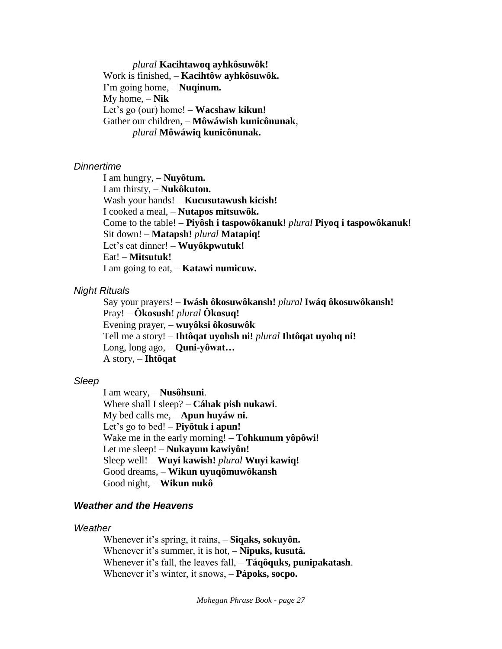*plural* **Kacihtawoq ayhkôsuwôk!** Work is finished, – **Kacihtôw ayhkôsuwôk.** I'm going home, – **Nuqinum.** My home, – **Nik** Let's go (our) home! – **Wacshaw kikun!** Gather our children, – **Môwáwish kunicônunak**, *plural* **Môwáwiq kunicônunak.**

#### *Dinnertime*

I am hungry, – **Nuyôtum.** I am thirsty, – **Nukôkuton.** Wash your hands! – **Kucusutawush kicish!** I cooked a meal, – **Nutapos mitsuwôk.** Come to the table! – **Piyôsh i taspowôkanuk!** *plural* **Piyoq i taspowôkanuk!** Sit down! – **Matapsh!** *plural* **Matapiq!** Let's eat dinner! – **Wuyôkpwutuk!** Eat! – **Mitsutuk!** I am going to eat, – **Katawi numicuw.**

#### *Night Rituals*

Say your prayers! – **Iwásh ôkosuwôkansh!** *plural* **Iwáq ôkosuwôkansh!** Pray! – **Ôkosush**! *plural* **Ôkosuq!** Evening prayer, – **wuyôksi ôkosuwôk** Tell me a story! – **Ihtôqat uyohsh ni!** *plural* **Ihtôqat uyohq ni!** Long, long ago, – **Quni-yôwat…** A story, – **Ihtôqat**

### *Sleep*

I am weary, – **Nusôhsuni**. Where shall I sleep? – **Cáhak pish nukawi**. My bed calls me, – **Apun huyáw ni.** Let's go to bed! – **Piyôtuk i apun!** Wake me in the early morning! – **Tohkunum yôpôwi!** Let me sleep! – **Nukayum kawiyôn!** Sleep well! – **Wuyi kawish!** *plural* **Wuyi kawiq!** Good dreams, – **Wikun uyuqômuwôkansh** Good night, – **Wikun nukô**

### *Weather and the Heavens*

#### *Weather*

Whenever it's spring, it rains, – **Siqaks, sokuyôn.** Whenever it's summer, it is hot, – **Nipuks, kusutá.** Whenever it's fall, the leaves fall, – **Táqôquks, punipakatash**. Whenever it's winter, it snows, – **Pápoks, socpo.**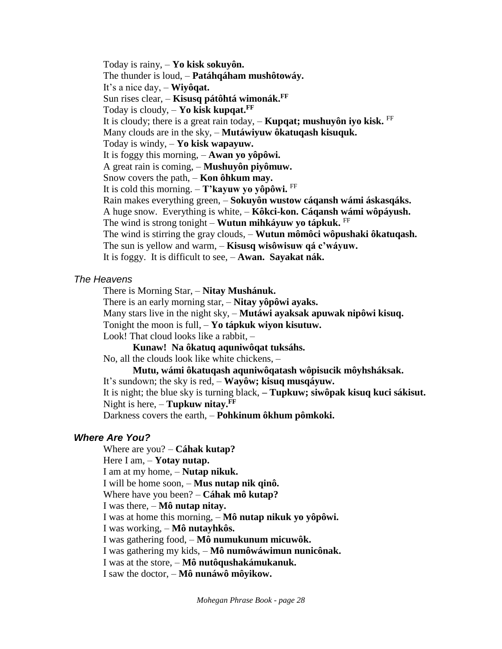Today is rainy, – **Yo kisk sokuyôn.** The thunder is loud, – **Patáhqáham mushôtowáy.** It's a nice day, – **Wiyôqat.** Sun rises clear, – **Kisusq pátôhtá wimonák.FF** Today is cloudy, – **Yo kisk kupqat.FF** It is cloudy; there is a great rain today,  $-$  **Kupqat; mushuyôn iyo kisk.** FF Many clouds are in the sky, – **Mutáwiyuw ôkatuqash kisuquk.** Today is windy, – **Yo kisk wapayuw.** It is foggy this morning, – **Awan yo yôpôwi.** A great rain is coming, – **Mushuyôn piyômuw.** Snow covers the path, – **Kon ôhkum may.** It is cold this morning. – **T'kayuw yo yôpôwi.** FF Rain makes everything green, – **Sokuyôn wustow cáqansh wámi áskasqáks.** A huge snow. Everything is white, – **Kôkci-kon. Cáqansh wámi wôpáyush.** The wind is strong tonight – **Wutun mihkáyuw yo tápkuk.** FF The wind is stirring the gray clouds, – **Wutun mômôci wôpushaki ôkatuqash.**  The sun is yellow and warm, – **Kisusq wisôwisuw qá c'wáyuw.** It is foggy. It is difficult to see, – **Awan. Sayakat nák.**

## *The Heavens*

There is Morning Star, – **Nitay Mushánuk.**

There is an early morning star, – **Nitay yôpôwi ayaks.**

Many stars live in the night sky, – **Mutáwi ayaksak apuwak nipôwi kisuq.**

Tonight the moon is full, – **Yo tápkuk wiyon kisutuw.**

Look! That cloud looks like a rabbit, –

**Kunaw! Na ôkatuq aquniwôqat tuksáhs.**

No, all the clouds look like white chickens, –

**Mutu, wámi ôkatuqash aquniwôqatash wôpisucik môyhsháksak.**

It's sundown; the sky is red, – **Wayôw; kisuq musqáyuw.**

It is night; the blue sky is turning black, **– Tupkuw; siwôpak kisuq kuci sákisut.** Night is here, – **Tupkuw nitay.FF**

Darkness covers the earth, – **Pohkinum ôkhum pômkoki.**

# *Where Are You?*

Where are you? – **Cáhak kutap?**

Here I am, – **Yotay nutap.**

I am at my home, – **Nutap nikuk.**

I will be home soon, – **Mus nutap nik qinô.**

Where have you been? – **Cáhak mô kutap?**

I was there, – **Mô nutap nitay.**

I was at home this morning, – **Mô nutap nikuk yo yôpôwi.**

I was working, – **Mô nutayhkôs.**

I was gathering food, – **Mô numukunum micuwôk.**

I was gathering my kids, – **Mô numôwáwimun nunicônak.**

I was at the store, – **Mô nutôqushakámukanuk.**

I saw the doctor, – **Mô nunáwô môyikow.**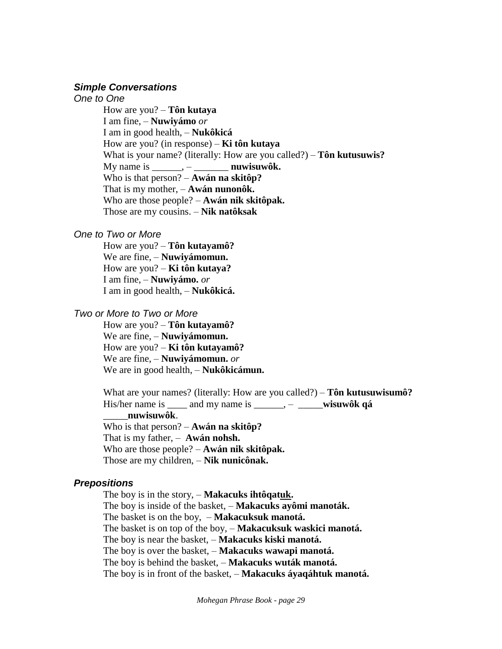#### *Simple Conversations*

*One to One*

How are you? – **Tôn kutaya**  I am fine, – **Nuwiyámo** *or* I am in good health, – **Nukôkicá** How are you? (in response) – **Ki tôn kutaya** What is your name? (literally: How are you called?) – **Tôn kutusuwis?**  My name is \_\_\_\_\_\_, – \_\_\_\_\_\_\_ **nuwisuwôk.** Who is that person? – **Awán na skitôp?**  That is my mother, – **Awán nunonôk.** Who are those people? – **Awán nik skitôpak.** Those are my cousins. – **Nik natôksak**

### *One to Two or More*

How are you? – **Tôn kutayamô?** We are fine, – **Nuwiyámomun.** How are you? – **Ki tôn kutaya?** I am fine, – **Nuwiyámo.** *or* I am in good health, – **Nukôkicá.**

#### *Two or More to Two or More*

How are you? – **Tôn kutayamô?** We are fine, – **Nuwiyámomun.** How are you? – **Ki tôn kutayamô?** We are fine, – **Nuwiyámomun.** *or* We are in good health, – **Nukôkicámun.**

What are your names? (literally: How are you called?) – **Tôn kutusuwisumô?** His/her name is \_\_\_\_ and my name is \_\_\_\_\_\_, – \_\_\_\_\_**wisuwôk qá** \_\_\_\_\_**nuwisuwôk**. Who is that person? – **Awán na skitôp?** 

That is my father, – **Awán nohsh.** Who are those people? – **Awán nik skitôpak.** Those are my children, – **Nik nunicônak.**

# *Prepositions*

The boy is in the story, – **Makacuks ihtôqatuk.** The boy is inside of the basket, – **Makacuks ayômi manoták.** The basket is on the boy, – **Makacuksuk manotá.** The basket is on top of the boy, – **Makacuksuk waskici manotá.** The boy is near the basket, – **Makacuks kiski manotá.** The boy is over the basket, – **Makacuks wawapi manotá.** The boy is behind the basket, – **Makacuks wuták manotá.** The boy is in front of the basket, – **Makacuks áyaqáhtuk manotá.**